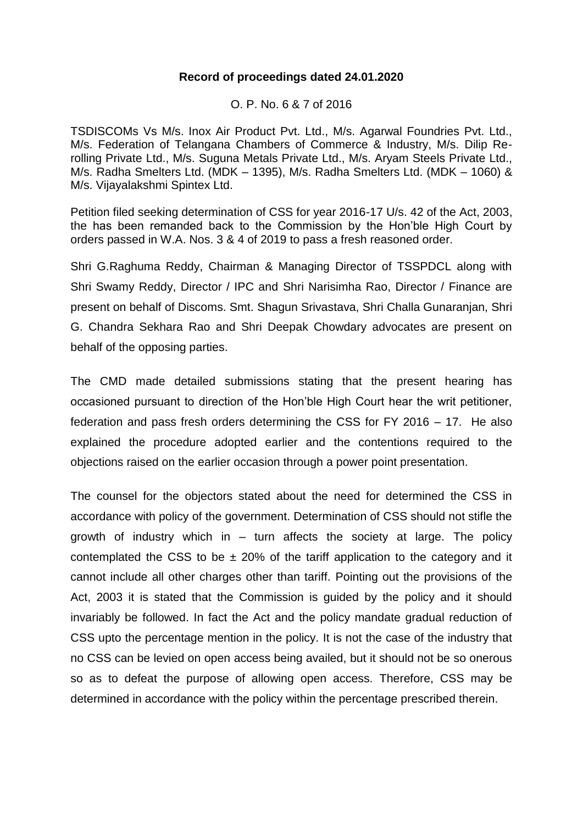#### **Record of proceedings dated 24.01.2020**

O. P. No. 6 & 7 of 2016

TSDISCOMs Vs M/s. Inox Air Product Pvt. Ltd., M/s. Agarwal Foundries Pvt. Ltd., M/s. Federation of Telangana Chambers of Commerce & Industry, M/s. Dilip Rerolling Private Ltd., M/s. Suguna Metals Private Ltd., M/s. Aryam Steels Private Ltd., M/s. Radha Smelters Ltd. (MDK – 1395), M/s. Radha Smelters Ltd. (MDK – 1060) & M/s. Vijayalakshmi Spintex Ltd.

Petition filed seeking determination of CSS for year 2016-17 U/s. 42 of the Act, 2003, the has been remanded back to the Commission by the Hon'ble High Court by orders passed in W.A. Nos. 3 & 4 of 2019 to pass a fresh reasoned order.

Shri G.Raghuma Reddy, Chairman & Managing Director of TSSPDCL along with Shri Swamy Reddy, Director / IPC and Shri Narisimha Rao, Director / Finance are present on behalf of Discoms. Smt. Shagun Srivastava, Shri Challa Gunaranjan, Shri G. Chandra Sekhara Rao and Shri Deepak Chowdary advocates are present on behalf of the opposing parties.

The CMD made detailed submissions stating that the present hearing has occasioned pursuant to direction of the Hon'ble High Court hear the writ petitioner, federation and pass fresh orders determining the CSS for FY 2016 – 17. He also explained the procedure adopted earlier and the contentions required to the objections raised on the earlier occasion through a power point presentation.

The counsel for the objectors stated about the need for determined the CSS in accordance with policy of the government. Determination of CSS should not stifle the growth of industry which in  $-$  turn affects the society at large. The policy contemplated the CSS to be  $\pm$  20% of the tariff application to the category and it cannot include all other charges other than tariff. Pointing out the provisions of the Act, 2003 it is stated that the Commission is guided by the policy and it should invariably be followed. In fact the Act and the policy mandate gradual reduction of CSS upto the percentage mention in the policy. It is not the case of the industry that no CSS can be levied on open access being availed, but it should not be so onerous so as to defeat the purpose of allowing open access. Therefore, CSS may be determined in accordance with the policy within the percentage prescribed therein.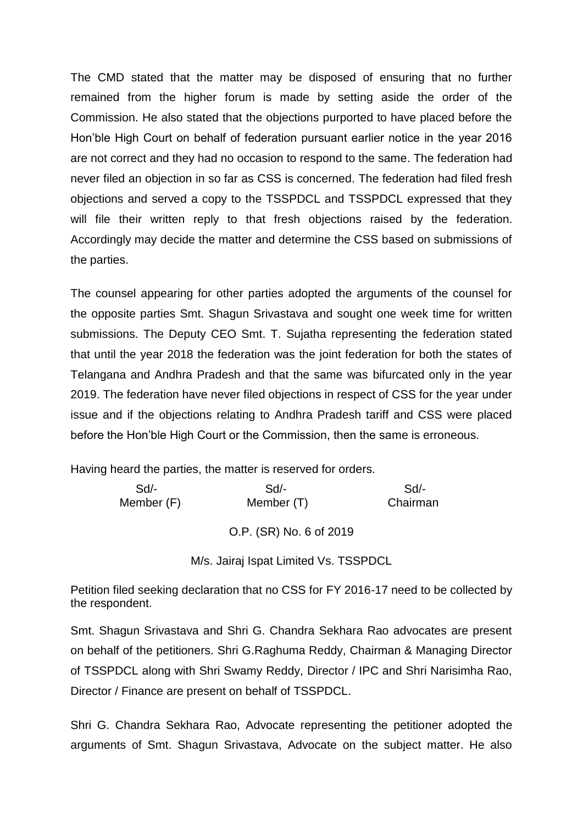The CMD stated that the matter may be disposed of ensuring that no further remained from the higher forum is made by setting aside the order of the Commission. He also stated that the objections purported to have placed before the Hon'ble High Court on behalf of federation pursuant earlier notice in the year 2016 are not correct and they had no occasion to respond to the same. The federation had never filed an objection in so far as CSS is concerned. The federation had filed fresh objections and served a copy to the TSSPDCL and TSSPDCL expressed that they will file their written reply to that fresh objections raised by the federation. Accordingly may decide the matter and determine the CSS based on submissions of the parties.

The counsel appearing for other parties adopted the arguments of the counsel for the opposite parties Smt. Shagun Srivastava and sought one week time for written submissions. The Deputy CEO Smt. T. Sujatha representing the federation stated that until the year 2018 the federation was the joint federation for both the states of Telangana and Andhra Pradesh and that the same was bifurcated only in the year 2019. The federation have never filed objections in respect of CSS for the year under issue and if the objections relating to Andhra Pradesh tariff and CSS were placed before the Hon'ble High Court or the Commission, then the same is erroneous.

Having heard the parties, the matter is reserved for orders.

| $Sd$ -     | Sd/-       | Sd       |
|------------|------------|----------|
| Member (F) | Member (T) | Chairman |
|            |            |          |

O.P. (SR) No. 6 of 2019

M/s. Jairaj Ispat Limited Vs. TSSPDCL

Petition filed seeking declaration that no CSS for FY 2016-17 need to be collected by the respondent.

Smt. Shagun Srivastava and Shri G. Chandra Sekhara Rao advocates are present on behalf of the petitioners. Shri G.Raghuma Reddy, Chairman & Managing Director of TSSPDCL along with Shri Swamy Reddy, Director / IPC and Shri Narisimha Rao, Director / Finance are present on behalf of TSSPDCL.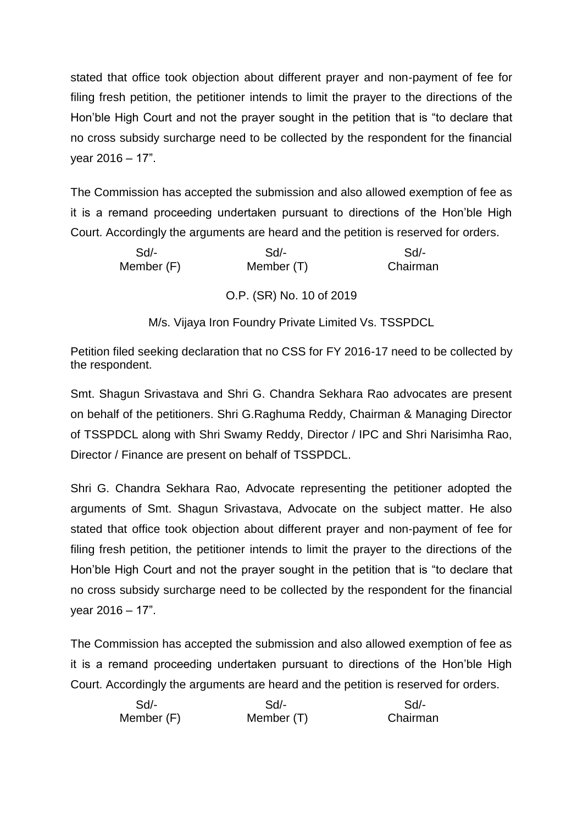The Commission has accepted the submission and also allowed exemption of fee as it is a remand proceeding undertaken pursuant to directions of the Hon'ble High Court. Accordingly the arguments are heard and the petition is reserved for orders.

| Sd | Sd         |
|----|------------|
|    | Chairman   |
|    | Member (T) |

# O.P. (SR) No. 10 of 2019

M/s. Vijaya Iron Foundry Private Limited Vs. TSSPDCL

Petition filed seeking declaration that no CSS for FY 2016-17 need to be collected by the respondent.

Smt. Shagun Srivastava and Shri G. Chandra Sekhara Rao advocates are present on behalf of the petitioners. Shri G.Raghuma Reddy, Chairman & Managing Director of TSSPDCL along with Shri Swamy Reddy, Director / IPC and Shri Narisimha Rao, Director / Finance are present on behalf of TSSPDCL.

Shri G. Chandra Sekhara Rao, Advocate representing the petitioner adopted the arguments of Smt. Shagun Srivastava, Advocate on the subject matter. He also stated that office took objection about different prayer and non-payment of fee for filing fresh petition, the petitioner intends to limit the prayer to the directions of the Hon'ble High Court and not the prayer sought in the petition that is "to declare that no cross subsidy surcharge need to be collected by the respondent for the financial year 2016 – 17".

| $Sd$ -     | Sd         | Sd       |
|------------|------------|----------|
| Member (F) | Member (T) | Chairman |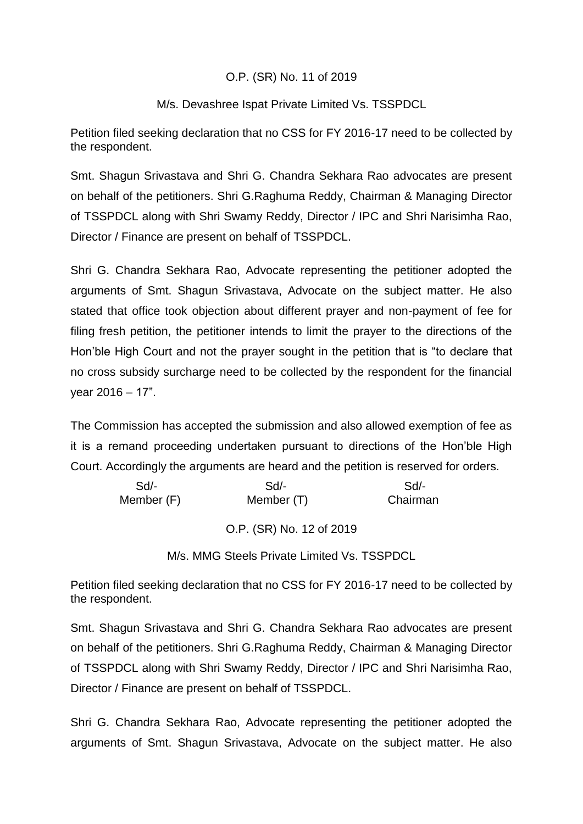## O.P. (SR) No. 11 of 2019

## M/s. Devashree Ispat Private Limited Vs. TSSPDCL

Petition filed seeking declaration that no CSS for FY 2016-17 need to be collected by the respondent.

Smt. Shagun Srivastava and Shri G. Chandra Sekhara Rao advocates are present on behalf of the petitioners. Shri G.Raghuma Reddy, Chairman & Managing Director of TSSPDCL along with Shri Swamy Reddy, Director / IPC and Shri Narisimha Rao, Director / Finance are present on behalf of TSSPDCL.

Shri G. Chandra Sekhara Rao, Advocate representing the petitioner adopted the arguments of Smt. Shagun Srivastava, Advocate on the subject matter. He also stated that office took objection about different prayer and non-payment of fee for filing fresh petition, the petitioner intends to limit the prayer to the directions of the Hon'ble High Court and not the prayer sought in the petition that is "to declare that no cross subsidy surcharge need to be collected by the respondent for the financial year 2016 – 17".

The Commission has accepted the submission and also allowed exemption of fee as it is a remand proceeding undertaken pursuant to directions of the Hon'ble High Court. Accordingly the arguments are heard and the petition is reserved for orders.

| $Sd$ -     | $Sd$ -     | Sd/-     |
|------------|------------|----------|
| Member (F) | Member (T) | Chairman |

O.P. (SR) No. 12 of 2019

M/s. MMG Steels Private Limited Vs. TSSPDCL

Petition filed seeking declaration that no CSS for FY 2016-17 need to be collected by the respondent.

Smt. Shagun Srivastava and Shri G. Chandra Sekhara Rao advocates are present on behalf of the petitioners. Shri G.Raghuma Reddy, Chairman & Managing Director of TSSPDCL along with Shri Swamy Reddy, Director / IPC and Shri Narisimha Rao, Director / Finance are present on behalf of TSSPDCL.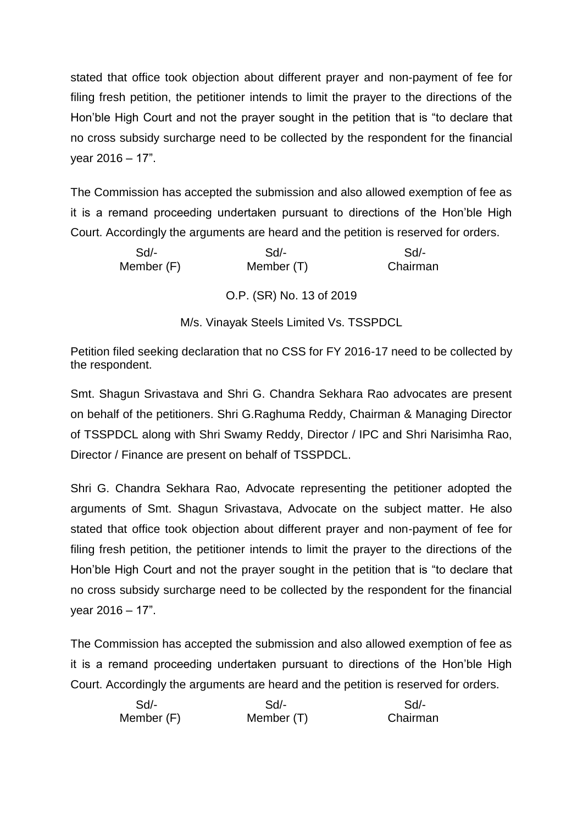The Commission has accepted the submission and also allowed exemption of fee as it is a remand proceeding undertaken pursuant to directions of the Hon'ble High Court. Accordingly the arguments are heard and the petition is reserved for orders.

| $Sd$ -     | Sd         | Sd       |
|------------|------------|----------|
| Member (F) | Member (T) | Chairman |
|            |            |          |

O.P. (SR) No. 13 of 2019

M/s. Vinayak Steels Limited Vs. TSSPDCL

Petition filed seeking declaration that no CSS for FY 2016-17 need to be collected by the respondent.

Smt. Shagun Srivastava and Shri G. Chandra Sekhara Rao advocates are present on behalf of the petitioners. Shri G.Raghuma Reddy, Chairman & Managing Director of TSSPDCL along with Shri Swamy Reddy, Director / IPC and Shri Narisimha Rao, Director / Finance are present on behalf of TSSPDCL.

Shri G. Chandra Sekhara Rao, Advocate representing the petitioner adopted the arguments of Smt. Shagun Srivastava, Advocate on the subject matter. He also stated that office took objection about different prayer and non-payment of fee for filing fresh petition, the petitioner intends to limit the prayer to the directions of the Hon'ble High Court and not the prayer sought in the petition that is "to declare that no cross subsidy surcharge need to be collected by the respondent for the financial year 2016 – 17".

| $Sd$ -     | Sd         | Sd       |
|------------|------------|----------|
| Member (F) | Member (T) | Chairman |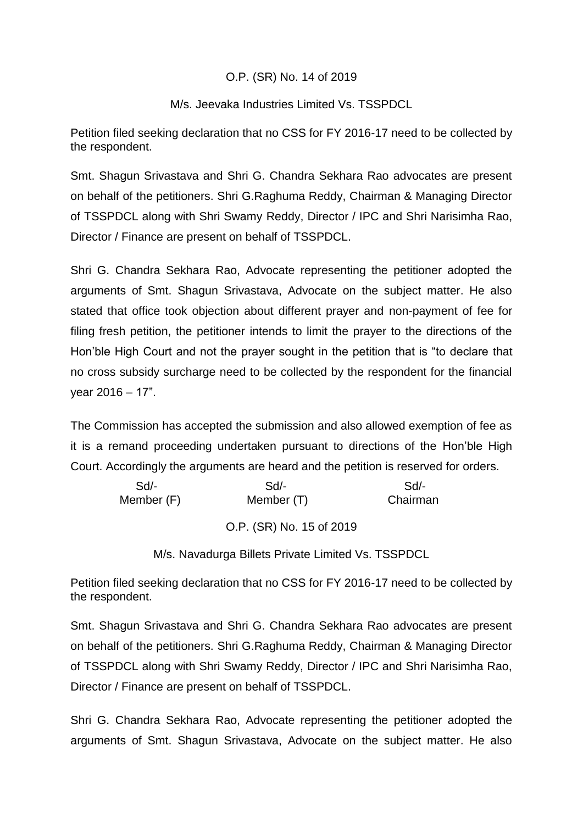## O.P. (SR) No. 14 of 2019

## M/s. Jeevaka Industries Limited Vs. TSSPDCL

Petition filed seeking declaration that no CSS for FY 2016-17 need to be collected by the respondent.

Smt. Shagun Srivastava and Shri G. Chandra Sekhara Rao advocates are present on behalf of the petitioners. Shri G.Raghuma Reddy, Chairman & Managing Director of TSSPDCL along with Shri Swamy Reddy, Director / IPC and Shri Narisimha Rao, Director / Finance are present on behalf of TSSPDCL.

Shri G. Chandra Sekhara Rao, Advocate representing the petitioner adopted the arguments of Smt. Shagun Srivastava, Advocate on the subject matter. He also stated that office took objection about different prayer and non-payment of fee for filing fresh petition, the petitioner intends to limit the prayer to the directions of the Hon'ble High Court and not the prayer sought in the petition that is "to declare that no cross subsidy surcharge need to be collected by the respondent for the financial year 2016 – 17".

The Commission has accepted the submission and also allowed exemption of fee as it is a remand proceeding undertaken pursuant to directions of the Hon'ble High Court. Accordingly the arguments are heard and the petition is reserved for orders.

| Sd         | Sd                       | $Sd/$ -  |
|------------|--------------------------|----------|
| Member (F) | Member (T)               | Chairman |
|            |                          |          |
|            | O.P. (SR) No. 15 of 2019 |          |

M/s. Navadurga Billets Private Limited Vs. TSSPDCL

Petition filed seeking declaration that no CSS for FY 2016-17 need to be collected by the respondent.

Smt. Shagun Srivastava and Shri G. Chandra Sekhara Rao advocates are present on behalf of the petitioners. Shri G.Raghuma Reddy, Chairman & Managing Director of TSSPDCL along with Shri Swamy Reddy, Director / IPC and Shri Narisimha Rao, Director / Finance are present on behalf of TSSPDCL.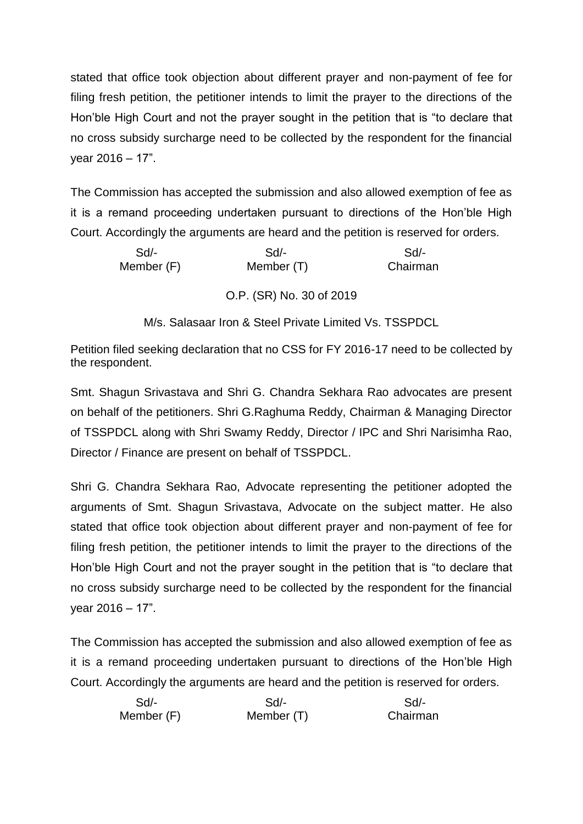The Commission has accepted the submission and also allowed exemption of fee as it is a remand proceeding undertaken pursuant to directions of the Hon'ble High Court. Accordingly the arguments are heard and the petition is reserved for orders.

| $Sd/-$     | $Sd/-$     | Sd       |
|------------|------------|----------|
| Member (F) | Member (T) | Chairman |
|            |            |          |

O.P. (SR) No. 30 of 2019

M/s. Salasaar Iron & Steel Private Limited Vs. TSSPDCL

Petition filed seeking declaration that no CSS for FY 2016-17 need to be collected by the respondent.

Smt. Shagun Srivastava and Shri G. Chandra Sekhara Rao advocates are present on behalf of the petitioners. Shri G.Raghuma Reddy, Chairman & Managing Director of TSSPDCL along with Shri Swamy Reddy, Director / IPC and Shri Narisimha Rao, Director / Finance are present on behalf of TSSPDCL.

Shri G. Chandra Sekhara Rao, Advocate representing the petitioner adopted the arguments of Smt. Shagun Srivastava, Advocate on the subject matter. He also stated that office took objection about different prayer and non-payment of fee for filing fresh petition, the petitioner intends to limit the prayer to the directions of the Hon'ble High Court and not the prayer sought in the petition that is "to declare that no cross subsidy surcharge need to be collected by the respondent for the financial year 2016 – 17".

| $Sd$ -     | Sd         | Sd       |
|------------|------------|----------|
| Member (F) | Member (T) | Chairman |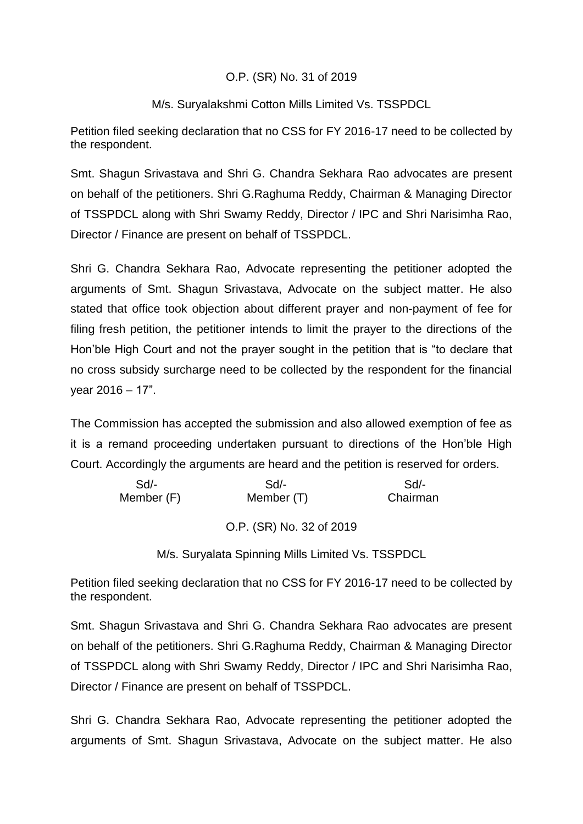## O.P. (SR) No. 31 of 2019

## M/s. Suryalakshmi Cotton Mills Limited Vs. TSSPDCL

Petition filed seeking declaration that no CSS for FY 2016-17 need to be collected by the respondent.

Smt. Shagun Srivastava and Shri G. Chandra Sekhara Rao advocates are present on behalf of the petitioners. Shri G.Raghuma Reddy, Chairman & Managing Director of TSSPDCL along with Shri Swamy Reddy, Director / IPC and Shri Narisimha Rao, Director / Finance are present on behalf of TSSPDCL.

Shri G. Chandra Sekhara Rao, Advocate representing the petitioner adopted the arguments of Smt. Shagun Srivastava, Advocate on the subject matter. He also stated that office took objection about different prayer and non-payment of fee for filing fresh petition, the petitioner intends to limit the prayer to the directions of the Hon'ble High Court and not the prayer sought in the petition that is "to declare that no cross subsidy surcharge need to be collected by the respondent for the financial year 2016 – 17".

The Commission has accepted the submission and also allowed exemption of fee as it is a remand proceeding undertaken pursuant to directions of the Hon'ble High Court. Accordingly the arguments are heard and the petition is reserved for orders.

| $Sd/-$     | Sd                       | $Sd/$ -  |
|------------|--------------------------|----------|
| Member (F) | Member (T)               | Chairman |
|            |                          |          |
|            | O.P. (SR) No. 32 of 2019 |          |

M/s. Suryalata Spinning Mills Limited Vs. TSSPDCL

Petition filed seeking declaration that no CSS for FY 2016-17 need to be collected by the respondent.

Smt. Shagun Srivastava and Shri G. Chandra Sekhara Rao advocates are present on behalf of the petitioners. Shri G.Raghuma Reddy, Chairman & Managing Director of TSSPDCL along with Shri Swamy Reddy, Director / IPC and Shri Narisimha Rao, Director / Finance are present on behalf of TSSPDCL.